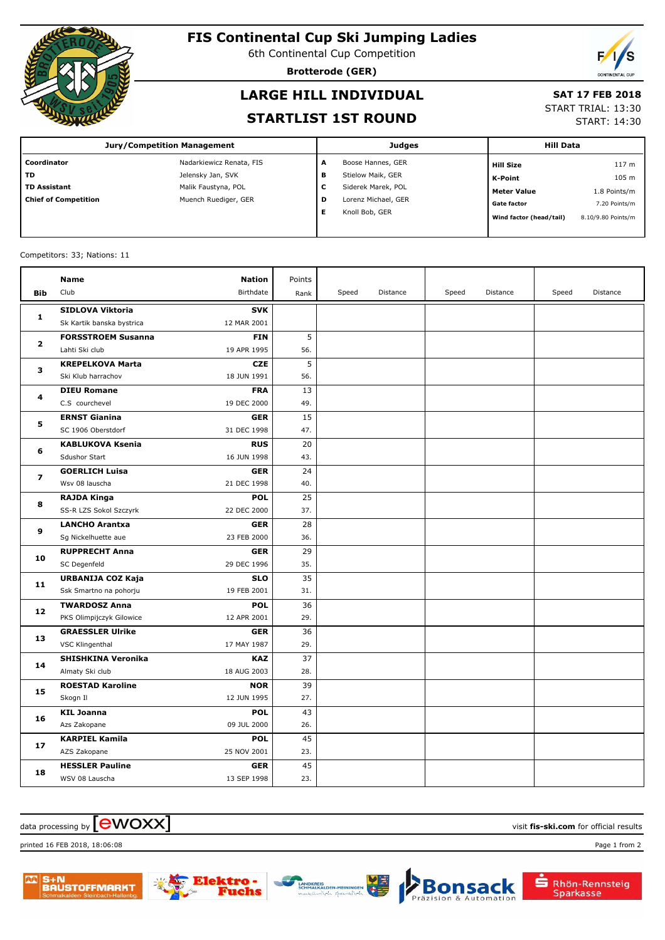

## **FIS Continental Cup Ski Jumping Ladies**

6th Continental Cup Competition

**Brotterode (GER)**

# **LARGE HILL INDIVIDUAL**

### **SAT 17 FEB 2018**

#### **STARTLIST 1ST ROUND**

START TRIAL: 13:30

START: 14:30

| <b>Jury/Competition Management</b> |                          |   | <b>Judges</b>       | <b>Hill Data</b>        |                    |
|------------------------------------|--------------------------|---|---------------------|-------------------------|--------------------|
| Coordinator                        | Nadarkiewicz Renata, FIS | A | Boose Hannes, GER   | <b>Hill Size</b>        | 117 <sub>m</sub>   |
| <b>TD</b>                          | Jelensky Jan, SVK        | в | Stielow Maik, GER   | K-Point                 | 105 m              |
| <b>TD Assistant</b>                | Malik Faustyna, POL      | c | Siderek Marek, POL  | <b>Meter Value</b>      | 1.8 Points/m       |
| <b>Chief of Competition</b>        | Muench Ruediger, GER     | D | Lorenz Michael, GER | <b>Gate factor</b>      | 7.20 Points/m      |
|                                    |                          | Е | Knoll Bob, GER      | Wind factor (head/tail) | 8.10/9.80 Points/m |

#### Competitors: 33; Nations: 11

|                | <b>Name</b>               | <b>Nation</b> | Points |       |          |       |          |       |          |
|----------------|---------------------------|---------------|--------|-------|----------|-------|----------|-------|----------|
| <b>Bib</b>     | Club                      | Birthdate     | Rank   | Speed | Distance | Speed | Distance | Speed | Distance |
|                | <b>SIDLOVA Viktoria</b>   | <b>SVK</b>    |        |       |          |       |          |       |          |
| 1              | Sk Kartik banska bystrica | 12 MAR 2001   |        |       |          |       |          |       |          |
| $\overline{2}$ | <b>FORSSTROEM Susanna</b> | <b>FIN</b>    | 5      |       |          |       |          |       |          |
|                | Lahti Ski club            | 19 APR 1995   | 56.    |       |          |       |          |       |          |
| з              | <b>KREPELKOVA Marta</b>   | <b>CZE</b>    | 5      |       |          |       |          |       |          |
|                | Ski Klub harrachov        | 18 JUN 1991   | 56.    |       |          |       |          |       |          |
| 4              | <b>DIEU Romane</b>        | <b>FRA</b>    | 13     |       |          |       |          |       |          |
|                | C.S courchevel            | 19 DEC 2000   | 49.    |       |          |       |          |       |          |
| 5              | <b>ERNST Gianina</b>      | <b>GER</b>    | 15     |       |          |       |          |       |          |
|                | SC 1906 Oberstdorf        | 31 DEC 1998   | 47.    |       |          |       |          |       |          |
| 6              | <b>KABLUKOVA Ksenia</b>   | <b>RUS</b>    | 20     |       |          |       |          |       |          |
|                | Sdushor Start             | 16 JUN 1998   | 43.    |       |          |       |          |       |          |
| 7              | <b>GOERLICH Luisa</b>     | <b>GER</b>    | 24     |       |          |       |          |       |          |
|                | Wsv 08 lauscha            | 21 DEC 1998   | 40.    |       |          |       |          |       |          |
| 8              | <b>RAJDA Kinga</b>        | <b>POL</b>    | 25     |       |          |       |          |       |          |
|                | SS-R LZS Sokol Szczyrk    | 22 DEC 2000   | 37.    |       |          |       |          |       |          |
| 9              | <b>LANCHO Arantxa</b>     | <b>GER</b>    | 28     |       |          |       |          |       |          |
|                | Sg Nickelhuette aue       | 23 FEB 2000   | 36.    |       |          |       |          |       |          |
| 10             | <b>RUPPRECHT Anna</b>     | <b>GER</b>    | 29     |       |          |       |          |       |          |
|                | SC Degenfeld              | 29 DEC 1996   | 35.    |       |          |       |          |       |          |
| 11             | URBANIJA COZ Kaja         | <b>SLO</b>    | 35     |       |          |       |          |       |          |
|                | Ssk Smartno na pohorju    | 19 FEB 2001   | 31.    |       |          |       |          |       |          |
| 12             | <b>TWARDOSZ Anna</b>      | <b>POL</b>    | 36     |       |          |       |          |       |          |
|                | PKS Olimpijczyk Gilowice  | 12 APR 2001   | 29.    |       |          |       |          |       |          |
| 13             | <b>GRAESSLER Ulrike</b>   | <b>GER</b>    | 36     |       |          |       |          |       |          |
|                | VSC Klingenthal           | 17 MAY 1987   | 29.    |       |          |       |          |       |          |
| 14             | <b>SHISHKINA Veronika</b> | <b>KAZ</b>    | 37     |       |          |       |          |       |          |
|                | Almaty Ski club           | 18 AUG 2003   | 28.    |       |          |       |          |       |          |
| 15             | <b>ROESTAD Karoline</b>   | <b>NOR</b>    | 39     |       |          |       |          |       |          |
|                | Skogn Il                  | 12 JUN 1995   | 27.    |       |          |       |          |       |          |
| 16             | <b>KIL Joanna</b>         | <b>POL</b>    | 43     |       |          |       |          |       |          |
|                | Azs Zakopane              | 09 JUL 2000   | 26.    |       |          |       |          |       |          |
| 17             | <b>KARPIEL Kamila</b>     | <b>POL</b>    | 45     |       |          |       |          |       |          |
|                | AZS Zakopane              | 25 NOV 2001   | 23.    |       |          |       |          |       |          |
| 18             | <b>HESSLER Pauline</b>    | GER           | 45     |       |          |       |          |       |          |
|                | WSV 08 Lauscha            | 13 SEP 1998   | 23.    |       |          |       |          |       |          |

#### $\frac{1}{2}$  data processing by  $\boxed{\text{ewOX}}$

printed 16 FEB 2018, 18:06:08 Page 1 from 2





Rhön-Rennsteig

Sparkasse